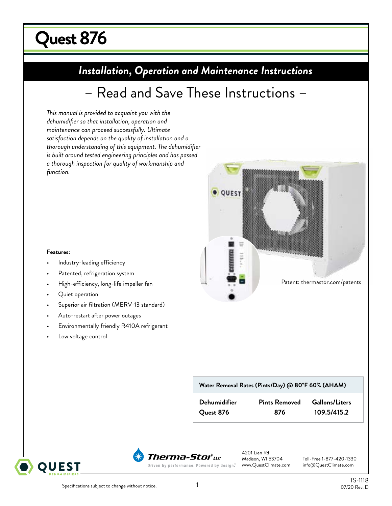# **Quest 876 uest 215 DryDual**

# **Installation, Operation and Maintenance Instructions** *Installation, Operation and Maintenance Instructions*

# – Read and Save These Instructions –

*This manual is provided to acquaint you with the dehumidifier so that installation, operation and maintenance can proceed successfully. Ultimate satisfaction depends on the quality of installation and a thorough understanding of this equipment. The dehumidifier is built around tested engineering principles and has passed a thorough inspection for quality of workmanship and function.*



### **Features:**

- Industry-leading efficiency
- Patented, refrigeration system
- High-efficiency, long-life impeller fan
- Quiet operation
- Superior air filtration (MERV-13 standard)
- Auto-restart after power outages
- Environmentally friendly R410A refrigerant
- Low voltage control

### **Water Removal Rates (Pints/Day) @ 80°F 60% (AHAM)**

| <b>Dehumidifier</b> |  |
|---------------------|--|
| Ouest 876           |  |

 $Pints$  **Removed Gallons/Liters** 

**Quest 876 876 109.5/415.2**

OUEST



4201 Lien Rd<br>Madison, WI 53704

Toll-Free 1-877-420-1330<br>info@QuestClimate.com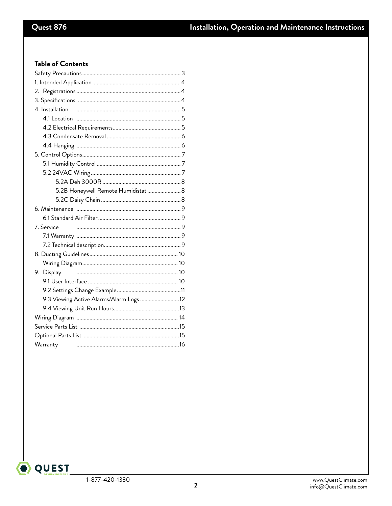# Table of Contents

| 5.2B Honeywell Remote Humidistat  8     |  |
|-----------------------------------------|--|
|                                         |  |
|                                         |  |
|                                         |  |
| 7. Service                              |  |
|                                         |  |
|                                         |  |
|                                         |  |
|                                         |  |
| 9. Display                              |  |
|                                         |  |
|                                         |  |
| 9.3 Viewing Active Alarms/Alarm Logs 12 |  |
|                                         |  |
|                                         |  |
|                                         |  |
|                                         |  |
| Warranty                                |  |
|                                         |  |

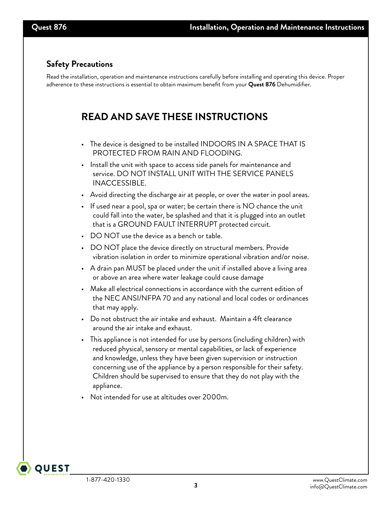# **Safety Precautions**

Read the installation, operation and maintenance instructions carefully before installing and operating this device. Proper adherence to these instructions is essential to obtain maximum benefit from your **Quest 876** Dehumidifier.

# **READ AND SAVE THESE INSTRUCTIONS**

- The device is designed to be installed INDOORS IN A SPACE THAT IS PROTECTED FROM RAIN AND FLOODING.
- Install the unit with space to access side panels for maintenance and service. DO NOT INSTALL UNIT WITH THE SERVICE PANELS INACCESSIBLE.
- Avoid directing the discharge air at people, or over the water in pool areas.
- If used near a pool, spa or water; be certain there is NO chance the unit could fall into the water, be splashed and that it is plugged into an outlet that is a GROUND FAULT INTERRUPT protected circuit.
- DO NOT use the device as a bench or table.
- DO NOT place the device directly on structural members. Provide vibration isolation in order to minimize operational vibration and/or noise.
- A drain pan MUST be placed under the unit if installed above a living area or above an area where water leakage could cause damage
- Make all electrical connections in accordance with the current edition of the NEC ANSI/NFPA 70 and any national and local codes or ordinances that may apply.
- Do not obstruct the air intake and exhaust. Maintain a 4ft clearance around the air intake and exhaust.
- This appliance is not intended for use by persons (including children) with reduced physical, sensory or mental capabilities, or lack of experience and knowledge, unless they have been given supervision or instruction concerning use of the appliance by a person responsible for their safety. Children should be supervised to ensure that they do not play with the appliance.
- Not intended for use at altitudes over 2000m.

**QUEST**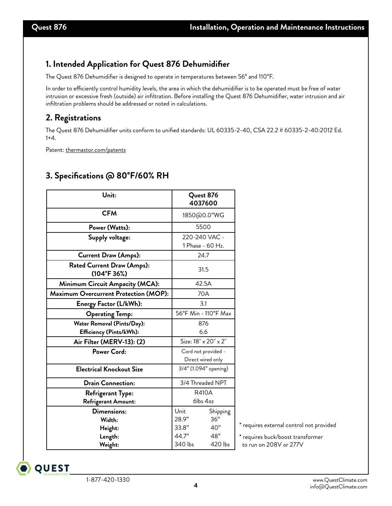# **1. Intended Application for Quest 876 Dehumidifier**

The Quest 876 Dehumidifier is designed to operate in temperatures between 56° and 110°F.

In order to efficiently control humidity levels, the area in which the dehumidifier is to be operated must be free of water intrusion or excessive fresh (outside) air infiltration. Before installing the Quest 876 Dehumidifier, water intrusion and air infiltration problems should be addressed or noted in calculations.

# **2. Registrations**

The Quest 876 Dehumidifier units conform to unified standards: UL 60335-2-40, CSA 22.2 # 60335-2-40:2012 Ed. 1+4.

Patent: thermastor.com/patents

# **3. Specifications @ 80°F/60% RH**

| Unit:                                                        |                                          | Quest 876<br>4037600              |  |
|--------------------------------------------------------------|------------------------------------------|-----------------------------------|--|
| <b>CFM</b>                                                   |                                          | 1850@0.0"WG                       |  |
| Power (Watts):                                               |                                          | 5500                              |  |
| Supply voltage:                                              |                                          | 220-240 VAC -<br>1 Phase - 60 Hz. |  |
| <b>Current Draw (Amps):</b>                                  |                                          | 24.7                              |  |
| <b>Rated Current Draw (Amps):</b><br>(104°F 36%)             |                                          | 31.5                              |  |
| Minimum Circuit Ampacity (MCA):                              |                                          | 42.5A                             |  |
| <b>Maximum Overcurrent Protection (MOP):</b>                 | 70A                                      |                                   |  |
| Energy Factor (L/kWh):                                       | 3.1                                      |                                   |  |
| <b>Operating Temp:</b>                                       | 56°F Min - 110°F Max                     |                                   |  |
| Water Removal (Pints/Day):<br><b>Efficiency (Pints/kWh):</b> |                                          | 876<br>6.6                        |  |
| Air Filter (MERV-13): (2)                                    | Size: 18" x 20" x 2"                     |                                   |  |
| Power Cord:                                                  | Cord not provided -<br>Direct wired only |                                   |  |
| <b>Electrical Knockout Size</b>                              |                                          | 3/4" (1.094" opening)             |  |
| <b>Drain Connection:</b>                                     | 3/4 Threaded NPT                         |                                   |  |
| <b>Refrigerant Type:</b><br>Refrigerant Amount:              | <b>R410A</b><br>6lbs 4oz                 |                                   |  |
| Dimensions:                                                  | Unit                                     | Shipping                          |  |
| Width:                                                       | 28.9"                                    | 36"                               |  |
| Height:                                                      | 33.8"                                    | 40"                               |  |
| Length:                                                      | 44.7"                                    | 48"                               |  |
| Weight:                                                      | 340 lbs                                  | 420 lbs                           |  |

quires external control not provided

quires buck/boost transformer run on 208V or 277V

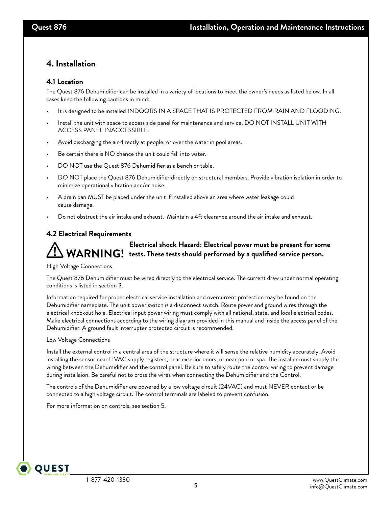## **4. Installation**

### **4.1 Location**

The Quest 876 Dehumidifier can be installed in a variety of locations to meet the owner's needs as listed below. In all cases keep the following cautions in mind:

- It is designed to be installed INDOORS IN A SPACE THAT IS PROTECTED FROM RAIN AND FLOODING.
- Install the unit with space to access side panel for maintenance and service. DO NOT INSTALL UNIT WITH ACCESS PANEL INACCESSIBLE.
- Avoid discharging the air directly at people, or over the water in pool areas.
- Be certain there is NO chance the unit could fall into water.
- DO NOT use the Quest 876 Dehumidifier as a bench or table.
- DO NOT place the Quest 876 Dehumidifier directly on structural members. Provide vibration isolation in order to minimize operational vibration and/or noise.
- A drain pan MUST be placed under the unit if installed above an area where water leakage could cause damage.
- Do not obstruct the air intake and exhaust. Maintain a 4ft clearance around the air intake and exhaust.

### **4.2 Electrical Requirements**

# **Electrical shock Hazard: Electrical power must be present for some**  WARNING! tests. These tests should performed by a qualified service person.

### High Voltage Connections

The Quest 876 Dehumidifier must be wired directly to the electrical service. The current draw under normal operating conditions is listed in section 3.

Information required for proper electrical service installation and overcurrent protection may be found on the Dehumidifier nameplate. The unit power switch is a disconnect switch. Route power and ground wires through the electrical knockout hole. Electrical input power wiring must comply with all national, state, and local electrical codes. Make electrical connections according to the wiring diagram provided in this manual and inside the access panel of the Dehumidifier. A ground fault interrupter protected circuit is recommended.

### Low Voltage Connections

**QUEST** 

Install the external control in a central area of the structure where it will sense the relative humidity accurately. Avoid installing the sensor near HVAC supply registers, near exterior doors, or near pool or spa. The installer must supply the wiring between the Dehumidifier and the control panel. Be sure to safely route the control wiring to prevent damage during installaion. Be careful not to cross the wires when connecting the Dehumidifier and the Control.

The controls of the Dehumidifier are powered by a low voltage circuit (24VAC) and must NEVER contact or be connected to a high voltage circuit. The control terminals are labeled to prevent confusion.

For more information on controls, see section 5.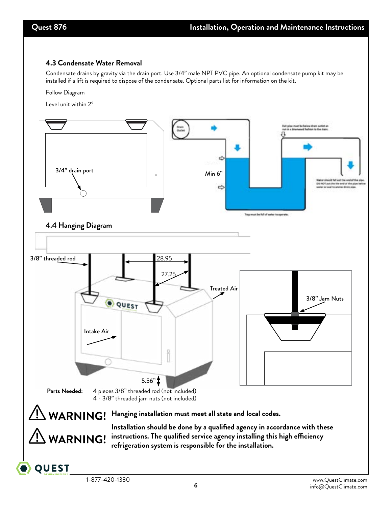### **4.3 Condensate Water Removal**

Condensate drains by gravity via the drain port. Use 3/4" male NPT PVC pipe. An optional condensate pump kit may be installed if a lift is required to dispose of the condensate. Optional parts list for information on the kit.

Follow Diagram

Level unit within 2°

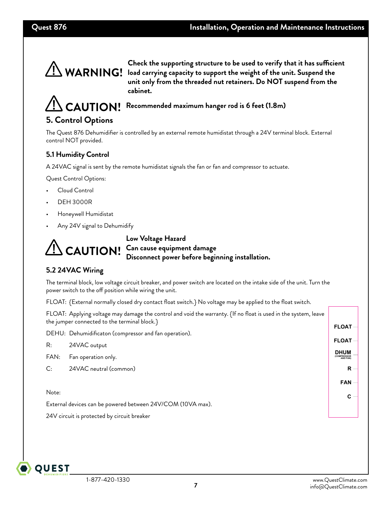

**Check the supporting structure to be used to verify that it has sufficient logary 11 Community CO** is the carrying capacity to support the weight of the unit. Suspend the  $\frac{1}{2}$ **unit only from the threaded nut retainers. Do NOT suspend from the cabinet.** 

**Recommended maximum hanger rod is 6 feet (1.8m)**

# **5. Control Options**

The Quest 876 Dehumidifier is controlled by an external remote humidistat through a 24V terminal block. External control NOT provided.

## **5.1 Humidity Control**

A 24VAC signal is sent by the remote humidistat signals the fan or fan and compressor to actuate.

Quest Control Options:

- Cloud Control
- DEH 3000R
- Honeywell Humidistat
- Any 24V signal to Dehumidify



**Low Voltage Hazard CAUTION!** Can cause equipment damage **Disconnect power before beginning installation.**

## **5.2 24VAC Wiring**

The terminal block, low voltage circuit breaker, and power switch are located on the intake side of the unit. Turn the power switch to the off position while wiring the unit.

FLOAT: {External normally closed dry contact float switch.} No voltage may be applied to the float switch.

| FLOAT: Applying voltage may damage the control and void the warranty. {If no float is used in the system, leave<br>the jumper connected to the terminal block.} |                                                       |                                              |  |
|-----------------------------------------------------------------------------------------------------------------------------------------------------------------|-------------------------------------------------------|----------------------------------------------|--|
|                                                                                                                                                                 | DEHU: Dehumidificaton (compressor and fan operation). | <b>FLOAT</b>                                 |  |
| R:                                                                                                                                                              | 24VAC output                                          | <b>FLOAT</b>                                 |  |
| FAN:                                                                                                                                                            | Fan operation only.                                   | <b>DHUM</b><br><b>COMPRESSOR</b><br>AND FAN) |  |
| C:                                                                                                                                                              | 24VAC neutral (common)                                | R                                            |  |
|                                                                                                                                                                 |                                                       | <b>FAN</b>                                   |  |
| Note:                                                                                                                                                           |                                                       | C                                            |  |
| External devices can be powered between 24V/COM (10VA max).                                                                                                     |                                                       |                                              |  |
| 24V circuit is protected by circuit breaker                                                                                                                     |                                                       |                                              |  |

**OUEST**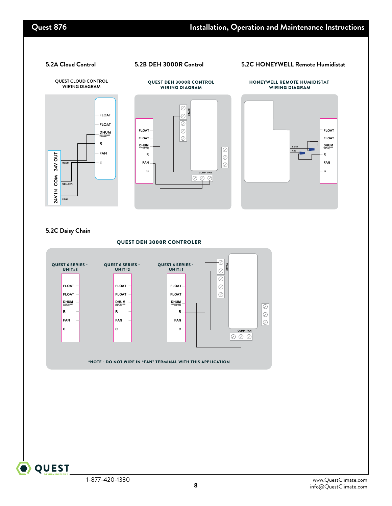### **5.2A Cloud Control 5.2B DEH 3000R Control 5.2C HONEYWELL Remote Humidistat**

QUEST DEH 3000R CONTROL



### **5.2C Daisy Chain**



**QUEST**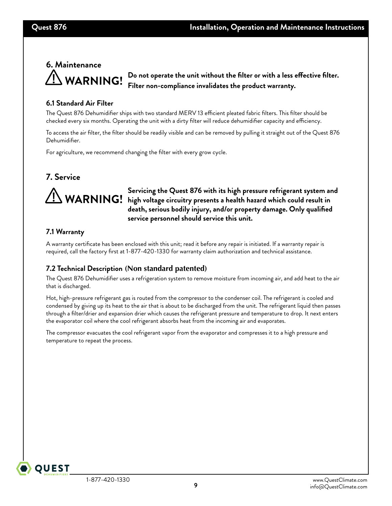# **6. Maintenance WARNING!**

**Do not operate the unit without the filter or with a less effective filter. Filter non-compliance invalidates the product warranty.**

### **6.1 Standard Air Filter**

The Quest 876 Dehumidifier ships with two standard MERV 13 efficient pleated fabric filters. This filter should be checked every six months. Operating the unit with a dirty filter will reduce dehumidifier capacity and efficiency.

To access the air filter, the filter should be readily visible and can be removed by pulling it straight out of the Quest 876 Dehumidifier.

For agriculture, we recommend changing the filter with every grow cycle.

# **7. Service**



**Servicing the Quest 876 with its high pressure refrigerant system and**  Servicing the Quest 876 with its high pressure retrigerant system ar<br>WARNING! high voltage circuitry presents a health hazard which could result in **WARNING death, serious bodily injury, and/or property damage. Only qualified service personnel should service this unit.**

### **7.1 Warranty**

A warranty certificate has been enclosed with this unit; read it before any repair is initiated. If a warranty repair is required, call the factory first at 1-877-420-1330 for warranty claim authorization and technical assistance.

## **7.2 Technical Description (Non standard patented)**

The Quest 876 Dehumidifier uses a refrigeration system to remove moisture from incoming air, and add heat to the air that is discharged.

Hot, high-pressure refrigerant gas is routed from the compressor to the condenser coil. The refrigerant is cooled and condensed by giving up its heat to the air that is about to be discharged from the unit. The refrigerant liquid then passes through a filter/drier and expansion drier which causes the refrigerant pressure and temperature to drop. It next enters the evaporator coil where the cool refrigerant absorbs heat from the incoming air and evaporates.

The compressor evacuates the cool refrigerant vapor from the evaporator and compresses it to a high pressure and temperature to repeat the process.

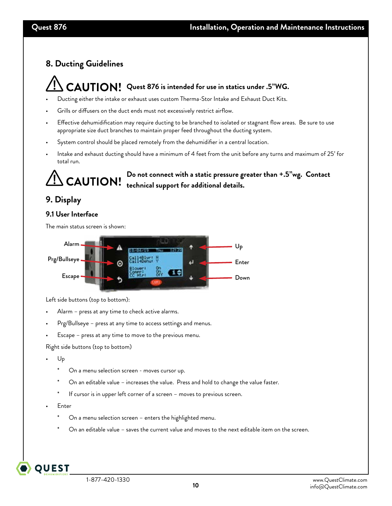# **8. Ducting Guidelines**

# **Quest 876 is intended for use in statics under .5"WG.**

- Ducting either the intake or exhaust uses custom Therma-Stor Intake and Exhaust Duct Kits.
- Grills or diffusers on the duct ends must not excessively restrict airflow.
- Effective dehumidification may require ducting to be branched to isolated or stagnant flow areas. Be sure to use appropriate size duct branches to maintain proper feed throughout the ducting system.
- System control should be placed remotely from the dehumidifier in a central location.
- Intake and exhaust ducting should have a minimum of 4 feet from the unit before any turns and maximum of 25' for total run.



**Do not connect with a static pressure greater than +.5"wg. Contact technical support for additional details.**

# **9. Display**

## **9.1 User Interface**

The main status screen is shown:



Left side buttons (top to bottom):

- Alarm press at any time to check active alarms.
- Prg/Bullseye press at any time to access settings and menus.
- Escape press at any time to move to the previous menu.

Right side buttons (top to bottom)

- Up
	- On a menu selection screen moves cursor up.
	- On an editable value increases the value. Press and hold to change the value faster.
	- If cursor is in upper left corner of a screen moves to previous screen.
- Enter

**OUEST** 

- On a menu selection screen enters the highlighted menu.
- On an editable value saves the current value and moves to the next editable item on the screen.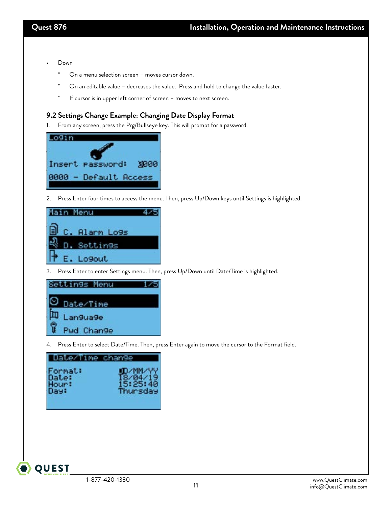- Down
	- \* On a menu selection screen moves cursor down.
	- \* On an editable value decreases the value. Press and hold to change the value faster.
	- \* If cursor is in upper left corner of screen moves to next screen.

### **9.2 Settings Change Example: Changing Date Display Format**

1. From any screen, press the Prg/Bullseye key. This will prompt for a password.



2. Press Enter four times to access the menu. Then, press Up/Down keys until Settings is highlighted.



3. Press Enter to enter Settings menu. Then, press Up/Down until Date/Time is highlighted.



4. Press Enter to select Date/Time. Then, press Enter again to move the cursor to the Format field.

| Date/Time change |          |
|------------------|----------|
| Format:          | UD/MM/YY |
| Date:            | 18/04/19 |
| Hour:            | 15:25:40 |
| Day:             | Thursday |

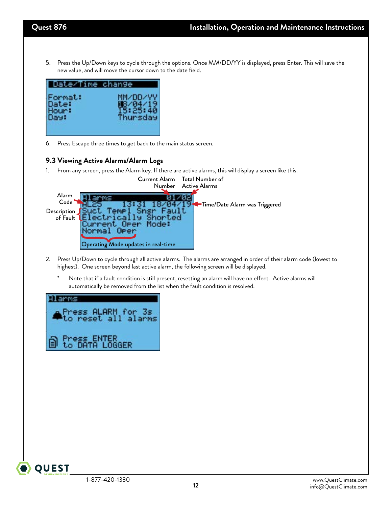5. Press the Up/Down keys to cycle through the options. Once MM/DD/YY is displayed, press Enter. This will save the new value, and will move the cursor down to the date field.



6. Press Escape three times to get back to the main status screen.

### **9.3 Viewing Active Alarms/Alarm Logs**

1. From any screen, press the Alarm key. If there are active alarms, this will display a screen like this.

|                         | Number                              | Current Alarm Total Number of<br>Active Alarms |
|-------------------------|-------------------------------------|------------------------------------------------|
| Alarm<br>Code           |                                     | Time/Date Alarm was Triggered                  |
| Description<br>of Fault |                                     |                                                |
|                         |                                     |                                                |
|                         | Operating Mode updates in real-time |                                                |

- 2. Press Up/Down to cycle through all active alarms. The alarms are arranged in order of their alarm code (lowest to highest). One screen beyond last active alarm, the following screen will be displayed.
	- \* Note that if a fault condition is still present, resetting an alarm will have no effect. Active alarms will automatically be removed from the list when the fault condition is resolved.



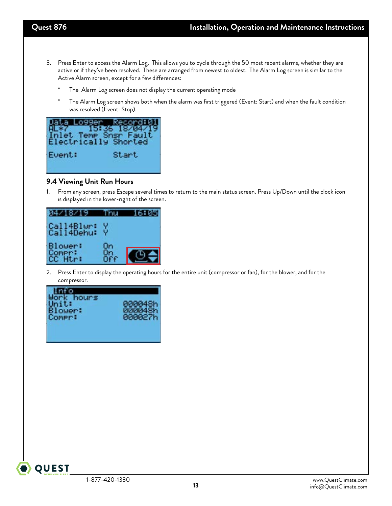- 3. Press Enter to access the Alarm Log. This allows you to cycle through the 50 most recent alarms, whether they are active or if they've been resolved. These are arranged from newest to oldest. The Alarm Log screen is similar to the Active Alarm screen, except for a few differences:
	- The Alarm Log screen does not display the current operating mode
	- The Alarm Log screen shows both when the alarm was first triggered (Event: Start) and when the fault condition was resolved (Event: Stop).

|        | 099er -<br>ora: k<br>15:36 18/04/19<br>Inlet Temp Snsr Fault<br>Electrically Shorted |
|--------|--------------------------------------------------------------------------------------|
| Event: | Start                                                                                |

### **9.4 Viewing Unit Run Hours**

1. From any screen, press Escape several times to return to the main status screen. Press Up/Down until the clock icon is displayed in the lower-right of the screen.

| 6Y.                      |    |  |
|--------------------------|----|--|
| Call4Blwr:<br>Call4Dehu: |    |  |
| Blower:<br>r:            | Оn |  |

2. Press Enter to display the operating hours for the entire unit (compressor or fan), for the blower, and for the compressor.



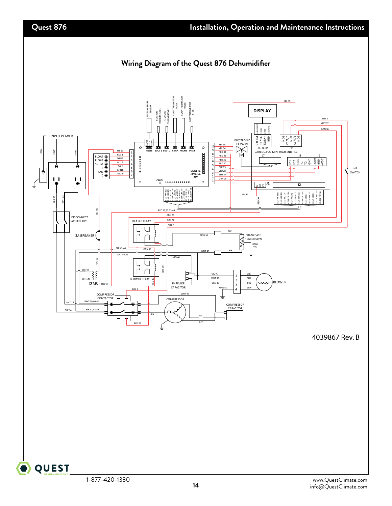

**14**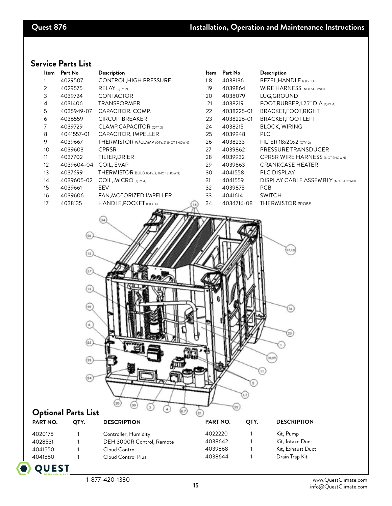# **Service Parts List**

| ltem           | Part No    | Description                             | <b>Item</b> | Part No    | <b>Description</b>                        |
|----------------|------------|-----------------------------------------|-------------|------------|-------------------------------------------|
|                | 4029507    | CONTROL, HIGH PRESSURE                  | 18          | 4038136    | BEZEL, HANDLE (QTY. 4)                    |
| 2              | 4029575    | $RELAY$ (QTY. 2)                        | 19          | 4039864    | <b>WIRE HARNESS (NOT SHOWN)</b>           |
| 3              | 4039724    | <b>CONTACTOR</b>                        | 20          | 4038079    | LUG, GROUND                               |
| $\overline{4}$ | 4031406    | <b>TRANSFORMER</b>                      | 21          | 4038219    | FOOT, RUBBER, 1.25" DIA (QTY. 4)          |
| 5              | 4035949-07 | CAPACITOR, COMP.                        | 22          | 4038225-01 | BRACKET, FOOT, RIGHT                      |
| 6              | 4036559    | <b>CIRCUIT BREAKER</b>                  | 23          | 4038226-01 | <b>BRACKET, FOOT LEFT</b>                 |
| 7              | 4039729    | CLAMP, CAPACITOR (QTY. 2)               | 24          | 4038215    | <b>BLOCK, WIRING</b>                      |
| 8              | 4041557-01 | CAPACITOR, IMPELLER                     | 25          | 4039948    | PLC                                       |
| 9              | 4039667    | THERMISTOR W/CLAMP (QTY. 2) (NOT SHOWN) | 26          | 4038233    | FILTER 18x20x2 (QTY. 2)                   |
| 10             | 4039603    | <b>CPRSR</b>                            | 27          | 4039862    | PRESSURE TRANSDUCER                       |
| 11             | 4037702    | FILTER, DRIER                           | 28          | 4039932    | <b>CPRSR WIRE HARNESS (NOT SHOWN)</b>     |
| 12             | 4039604-04 | COIL, EVAP                              | 29          | 4039863    | <b>CRANKCASE HEATER</b>                   |
| 13             | 4037699    | THERMISTOR BULB (QTY. 2) (NOT SHOWN)    | 30          | 4041558    | <b>PLC DISPLAY</b>                        |
| 14             | 4039605-02 | COIL, MICRO (QTY. 4)                    | 31          | 4041559    | <b>DISPLAY CABLE ASSEMBLY (NOT SHOWN)</b> |
| 15             | 4039661    | EEV                                     | 32          | 4039875    | <b>PCB</b>                                |
| 16             | 4039606    | FAN, MOTORIZED IMPELLER                 | 33          | 4041614    | <b>SWITCH</b>                             |
| 17             | 4038135    | HANDLE, POCKET (QTY. 4)<br>14           | 34          | 4034716-08 | <b>THERMISTOR PROBE</b>                   |
|                |            |                                         |             |            |                                           |